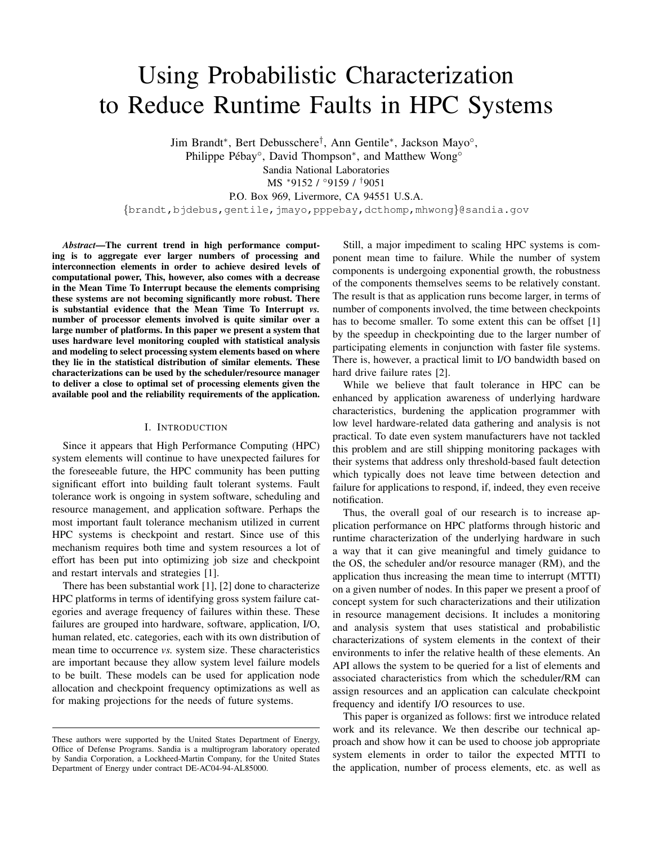# Using Probabilistic Characterization to Reduce Runtime Faults in HPC Systems

Jim Brandt<sup>∗</sup> , Bert Debusschere† , Ann Gentile<sup>∗</sup> , Jackson Mayo◦ , Philippe Pébay°, David Thompson<sup>\*</sup>, and Matthew Wong° Sandia National Laboratories MS <sup>∗</sup>9152 / ◦9159 / †9051 P.O. Box 969, Livermore, CA 94551 U.S.A.

{brandt,bjdebus,gentile,jmayo,pppebay,dcthomp,mhwong}@sandia.gov

*Abstract*—The current trend in high performance computing is to aggregate ever larger numbers of processing and interconnection elements in order to achieve desired levels of computational power, This, however, also comes with a decrease in the Mean Time To Interrupt because the elements comprising these systems are not becoming significantly more robust. There is substantial evidence that the Mean Time To Interrupt *vs.* number of processor elements involved is quite similar over a large number of platforms. In this paper we present a system that uses hardware level monitoring coupled with statistical analysis and modeling to select processing system elements based on where they lie in the statistical distribution of similar elements. These characterizations can be used by the scheduler/resource manager to deliver a close to optimal set of processing elements given the available pool and the reliability requirements of the application.

## I. INTRODUCTION

Since it appears that High Performance Computing (HPC) system elements will continue to have unexpected failures for the foreseeable future, the HPC community has been putting significant effort into building fault tolerant systems. Fault tolerance work is ongoing in system software, scheduling and resource management, and application software. Perhaps the most important fault tolerance mechanism utilized in current HPC systems is checkpoint and restart. Since use of this mechanism requires both time and system resources a lot of effort has been put into optimizing job size and checkpoint and restart intervals and strategies [1].

There has been substantial work [1], [2] done to characterize HPC platforms in terms of identifying gross system failure categories and average frequency of failures within these. These failures are grouped into hardware, software, application, I/O, human related, etc. categories, each with its own distribution of mean time to occurrence *vs.* system size. These characteristics are important because they allow system level failure models to be built. These models can be used for application node allocation and checkpoint frequency optimizations as well as for making projections for the needs of future systems.

Still, a major impediment to scaling HPC systems is component mean time to failure. While the number of system components is undergoing exponential growth, the robustness of the components themselves seems to be relatively constant. The result is that as application runs become larger, in terms of number of components involved, the time between checkpoints has to become smaller. To some extent this can be offset [1] by the speedup in checkpointing due to the larger number of participating elements in conjunction with faster file systems. There is, however, a practical limit to I/O bandwidth based on hard drive failure rates [2].

While we believe that fault tolerance in HPC can be enhanced by application awareness of underlying hardware characteristics, burdening the application programmer with low level hardware-related data gathering and analysis is not practical. To date even system manufacturers have not tackled this problem and are still shipping monitoring packages with their systems that address only threshold-based fault detection which typically does not leave time between detection and failure for applications to respond, if, indeed, they even receive notification.

Thus, the overall goal of our research is to increase application performance on HPC platforms through historic and runtime characterization of the underlying hardware in such a way that it can give meaningful and timely guidance to the OS, the scheduler and/or resource manager (RM), and the application thus increasing the mean time to interrupt (MTTI) on a given number of nodes. In this paper we present a proof of concept system for such characterizations and their utilization in resource management decisions. It includes a monitoring and analysis system that uses statistical and probabilistic characterizations of system elements in the context of their environments to infer the relative health of these elements. An API allows the system to be queried for a list of elements and associated characteristics from which the scheduler/RM can assign resources and an application can calculate checkpoint frequency and identify I/O resources to use.

This paper is organized as follows: first we introduce related work and its relevance. We then describe our technical approach and show how it can be used to choose job appropriate system elements in order to tailor the expected MTTI to the application, number of process elements, etc. as well as

These authors were supported by the United States Department of Energy, Office of Defense Programs. Sandia is a multiprogram laboratory operated by Sandia Corporation, a Lockheed-Martin Company, for the United States Department of Energy under contract DE-AC04-94-AL85000.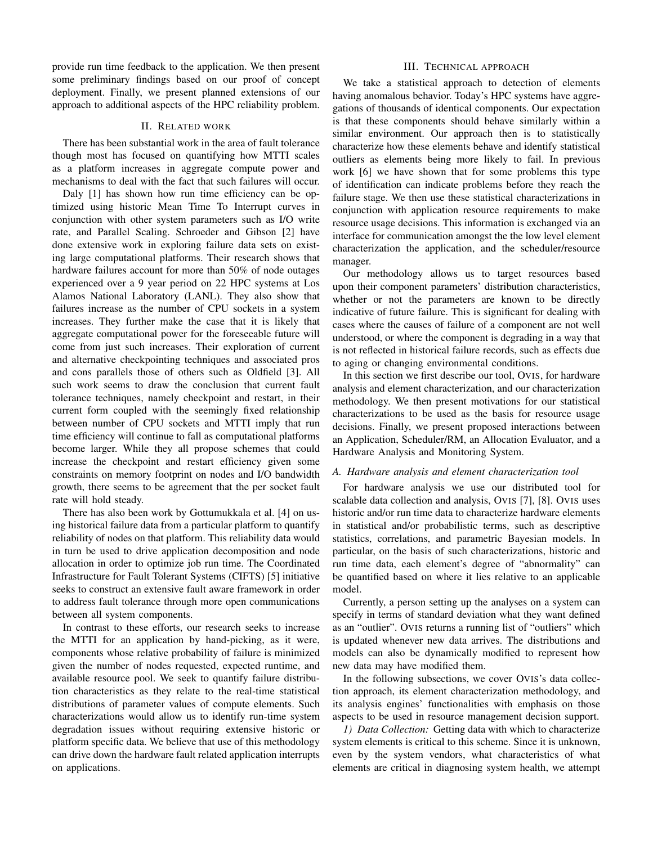provide run time feedback to the application. We then present some preliminary findings based on our proof of concept deployment. Finally, we present planned extensions of our approach to additional aspects of the HPC reliability problem.

### II. RELATED WORK

There has been substantial work in the area of fault tolerance though most has focused on quantifying how MTTI scales as a platform increases in aggregate compute power and mechanisms to deal with the fact that such failures will occur.

Daly [1] has shown how run time efficiency can be optimized using historic Mean Time To Interrupt curves in conjunction with other system parameters such as I/O write rate, and Parallel Scaling. Schroeder and Gibson [2] have done extensive work in exploring failure data sets on existing large computational platforms. Their research shows that hardware failures account for more than 50% of node outages experienced over a 9 year period on 22 HPC systems at Los Alamos National Laboratory (LANL). They also show that failures increase as the number of CPU sockets in a system increases. They further make the case that it is likely that aggregate computational power for the foreseeable future will come from just such increases. Their exploration of current and alternative checkpointing techniques and associated pros and cons parallels those of others such as Oldfield [3]. All such work seems to draw the conclusion that current fault tolerance techniques, namely checkpoint and restart, in their current form coupled with the seemingly fixed relationship between number of CPU sockets and MTTI imply that run time efficiency will continue to fall as computational platforms become larger. While they all propose schemes that could increase the checkpoint and restart efficiency given some constraints on memory footprint on nodes and I/O bandwidth growth, there seems to be agreement that the per socket fault rate will hold steady.

There has also been work by Gottumukkala et al. [4] on using historical failure data from a particular platform to quantify reliability of nodes on that platform. This reliability data would in turn be used to drive application decomposition and node allocation in order to optimize job run time. The Coordinated Infrastructure for Fault Tolerant Systems (CIFTS) [5] initiative seeks to construct an extensive fault aware framework in order to address fault tolerance through more open communications between all system components.

In contrast to these efforts, our research seeks to increase the MTTI for an application by hand-picking, as it were, components whose relative probability of failure is minimized given the number of nodes requested, expected runtime, and available resource pool. We seek to quantify failure distribution characteristics as they relate to the real-time statistical distributions of parameter values of compute elements. Such characterizations would allow us to identify run-time system degradation issues without requiring extensive historic or platform specific data. We believe that use of this methodology can drive down the hardware fault related application interrupts on applications.

#### III. TECHNICAL APPROACH

We take a statistical approach to detection of elements having anomalous behavior. Today's HPC systems have aggregations of thousands of identical components. Our expectation is that these components should behave similarly within a similar environment. Our approach then is to statistically characterize how these elements behave and identify statistical outliers as elements being more likely to fail. In previous work [6] we have shown that for some problems this type of identification can indicate problems before they reach the failure stage. We then use these statistical characterizations in conjunction with application resource requirements to make resource usage decisions. This information is exchanged via an interface for communication amongst the the low level element characterization the application, and the scheduler/resource manager.

Our methodology allows us to target resources based upon their component parameters' distribution characteristics, whether or not the parameters are known to be directly indicative of future failure. This is significant for dealing with cases where the causes of failure of a component are not well understood, or where the component is degrading in a way that is not reflected in historical failure records, such as effects due to aging or changing environmental conditions.

In this section we first describe our tool, OVIS, for hardware analysis and element characterization, and our characterization methodology. We then present motivations for our statistical characterizations to be used as the basis for resource usage decisions. Finally, we present proposed interactions between an Application, Scheduler/RM, an Allocation Evaluator, and a Hardware Analysis and Monitoring System.

#### *A. Hardware analysis and element characterization tool*

For hardware analysis we use our distributed tool for scalable data collection and analysis, OVIS [7], [8]. OVIS uses historic and/or run time data to characterize hardware elements in statistical and/or probabilistic terms, such as descriptive statistics, correlations, and parametric Bayesian models. In particular, on the basis of such characterizations, historic and run time data, each element's degree of "abnormality" can be quantified based on where it lies relative to an applicable model.

Currently, a person setting up the analyses on a system can specify in terms of standard deviation what they want defined as an "outlier". OVIS returns a running list of "outliers" which is updated whenever new data arrives. The distributions and models can also be dynamically modified to represent how new data may have modified them.

In the following subsections, we cover OVIS's data collection approach, its element characterization methodology, and its analysis engines' functionalities with emphasis on those aspects to be used in resource management decision support.

*1) Data Collection:* Getting data with which to characterize system elements is critical to this scheme. Since it is unknown, even by the system vendors, what characteristics of what elements are critical in diagnosing system health, we attempt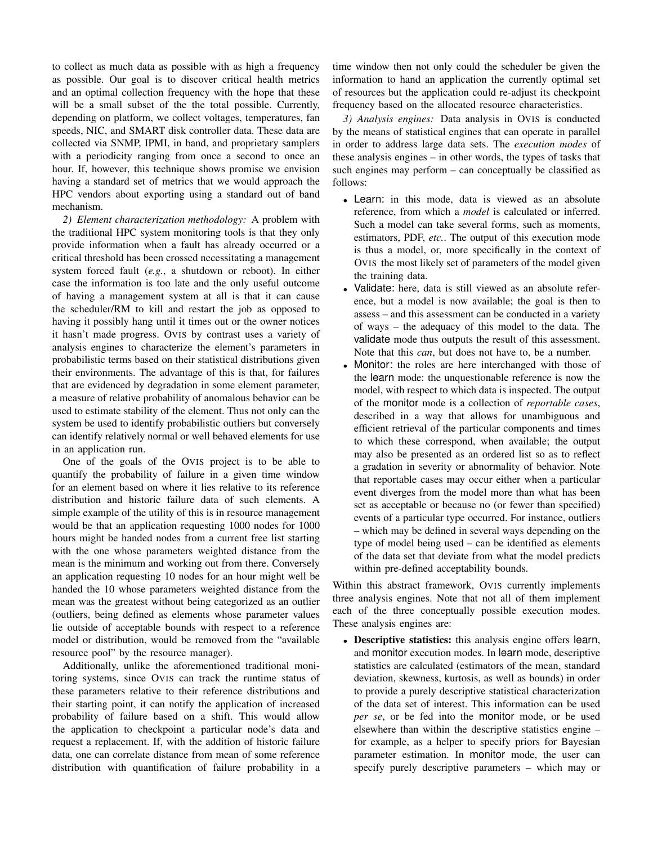to collect as much data as possible with as high a frequency as possible. Our goal is to discover critical health metrics and an optimal collection frequency with the hope that these will be a small subset of the the total possible. Currently, depending on platform, we collect voltages, temperatures, fan speeds, NIC, and SMART disk controller data. These data are collected via SNMP, IPMI, in band, and proprietary samplers with a periodicity ranging from once a second to once an hour. If, however, this technique shows promise we envision having a standard set of metrics that we would approach the HPC vendors about exporting using a standard out of band mechanism.

*2) Element characterization methodology:* A problem with the traditional HPC system monitoring tools is that they only provide information when a fault has already occurred or a critical threshold has been crossed necessitating a management system forced fault (*e.g.*, a shutdown or reboot). In either case the information is too late and the only useful outcome of having a management system at all is that it can cause the scheduler/RM to kill and restart the job as opposed to having it possibly hang until it times out or the owner notices it hasn't made progress. OVIS by contrast uses a variety of analysis engines to characterize the element's parameters in probabilistic terms based on their statistical distributions given their environments. The advantage of this is that, for failures that are evidenced by degradation in some element parameter, a measure of relative probability of anomalous behavior can be used to estimate stability of the element. Thus not only can the system be used to identify probabilistic outliers but conversely can identify relatively normal or well behaved elements for use in an application run.

One of the goals of the OVIS project is to be able to quantify the probability of failure in a given time window for an element based on where it lies relative to its reference distribution and historic failure data of such elements. A simple example of the utility of this is in resource management would be that an application requesting 1000 nodes for 1000 hours might be handed nodes from a current free list starting with the one whose parameters weighted distance from the mean is the minimum and working out from there. Conversely an application requesting 10 nodes for an hour might well be handed the 10 whose parameters weighted distance from the mean was the greatest without being categorized as an outlier (outliers, being defined as elements whose parameter values lie outside of acceptable bounds with respect to a reference model or distribution, would be removed from the "available resource pool" by the resource manager).

Additionally, unlike the aforementioned traditional monitoring systems, since OVIS can track the runtime status of these parameters relative to their reference distributions and their starting point, it can notify the application of increased probability of failure based on a shift. This would allow the application to checkpoint a particular node's data and request a replacement. If, with the addition of historic failure data, one can correlate distance from mean of some reference distribution with quantification of failure probability in a

time window then not only could the scheduler be given the information to hand an application the currently optimal set of resources but the application could re-adjust its checkpoint frequency based on the allocated resource characteristics.

*3) Analysis engines:* Data analysis in OVIS is conducted by the means of statistical engines that can operate in parallel in order to address large data sets. The *execution modes* of these analysis engines – in other words, the types of tasks that such engines may perform – can conceptually be classified as follows:

- Learn: in this mode, data is viewed as an absolute reference, from which a *model* is calculated or inferred. Such a model can take several forms, such as moments, estimators, PDF, *etc.*. The output of this execution mode is thus a model, or, more specifically in the context of OVIS the most likely set of parameters of the model given the training data.
- Validate: here, data is still viewed as an absolute reference, but a model is now available; the goal is then to assess – and this assessment can be conducted in a variety of ways – the adequacy of this model to the data. The validate mode thus outputs the result of this assessment. Note that this *can*, but does not have to, be a number.
- Monitor: the roles are here interchanged with those of the learn mode: the unquestionable reference is now the model, with respect to which data is inspected. The output of the monitor mode is a collection of *reportable cases*, described in a way that allows for unambiguous and efficient retrieval of the particular components and times to which these correspond, when available; the output may also be presented as an ordered list so as to reflect a gradation in severity or abnormality of behavior. Note that reportable cases may occur either when a particular event diverges from the model more than what has been set as acceptable or because no (or fewer than specified) events of a particular type occurred. For instance, outliers – which may be defined in several ways depending on the type of model being used – can be identified as elements of the data set that deviate from what the model predicts within pre-defined acceptability bounds.

Within this abstract framework, OVIS currently implements three analysis engines. Note that not all of them implement each of the three conceptually possible execution modes. These analysis engines are:

• Descriptive statistics: this analysis engine offers learn, and monitor execution modes. In learn mode, descriptive statistics are calculated (estimators of the mean, standard deviation, skewness, kurtosis, as well as bounds) in order to provide a purely descriptive statistical characterization of the data set of interest. This information can be used *per se*, or be fed into the monitor mode, or be used elsewhere than within the descriptive statistics engine – for example, as a helper to specify priors for Bayesian parameter estimation. In monitor mode, the user can specify purely descriptive parameters – which may or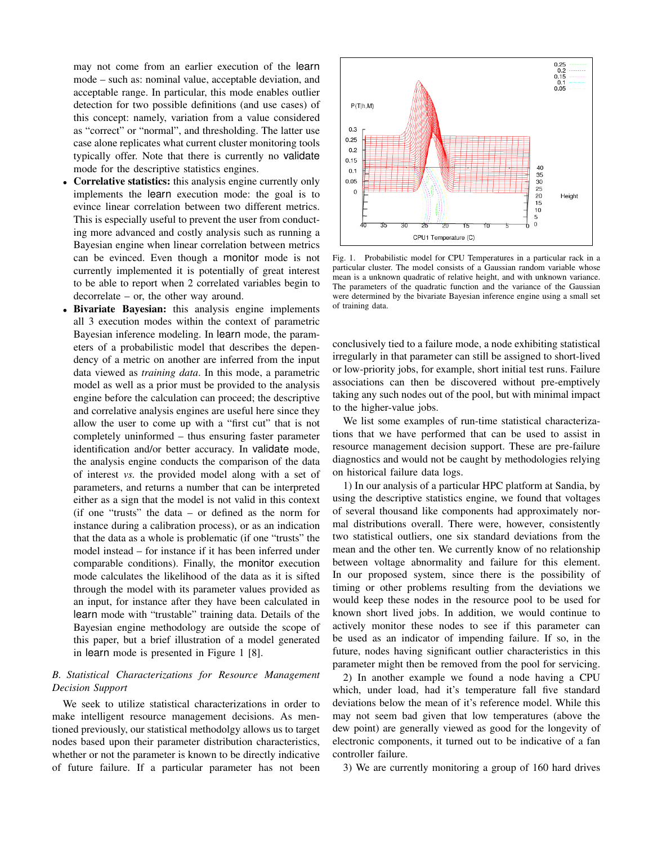may not come from an earlier execution of the learn mode – such as: nominal value, acceptable deviation, and acceptable range. In particular, this mode enables outlier detection for two possible definitions (and use cases) of this concept: namely, variation from a value considered as "correct" or "normal", and thresholding. The latter use case alone replicates what current cluster monitoring tools typically offer. Note that there is currently no validate mode for the descriptive statistics engines.

- Correlative statistics: this analysis engine currently only implements the learn execution mode: the goal is to evince linear correlation between two different metrics. This is especially useful to prevent the user from conducting more advanced and costly analysis such as running a Bayesian engine when linear correlation between metrics can be evinced. Even though a monitor mode is not currently implemented it is potentially of great interest to be able to report when 2 correlated variables begin to decorrelate – or, the other way around.
- Bivariate Bayesian: this analysis engine implements all 3 execution modes within the context of parametric Bayesian inference modeling. In learn mode, the parameters of a probabilistic model that describes the dependency of a metric on another are inferred from the input data viewed as *training data*. In this mode, a parametric model as well as a prior must be provided to the analysis engine before the calculation can proceed; the descriptive and correlative analysis engines are useful here since they allow the user to come up with a "first cut" that is not completely uninformed – thus ensuring faster parameter identification and/or better accuracy. In validate mode, the analysis engine conducts the comparison of the data of interest *vs.* the provided model along with a set of parameters, and returns a number that can be interpreted either as a sign that the model is not valid in this context (if one "trusts" the data – or defined as the norm for instance during a calibration process), or as an indication that the data as a whole is problematic (if one "trusts" the model instead – for instance if it has been inferred under comparable conditions). Finally, the monitor execution mode calculates the likelihood of the data as it is sifted through the model with its parameter values provided as an input, for instance after they have been calculated in learn mode with "trustable" training data. Details of the Bayesian engine methodology are outside the scope of this paper, but a brief illustration of a model generated in learn mode is presented in Figure 1 [8].

# *B. Statistical Characterizations for Resource Management Decision Support*

We seek to utilize statistical characterizations in order to make intelligent resource management decisions. As mentioned previously, our statistical methodolgy allows us to target nodes based upon their parameter distribution characteristics, whether or not the parameter is known to be directly indicative of future failure. If a particular parameter has not been



Fig. 1. Probabilistic model for CPU Temperatures in a particular rack in a particular cluster. The model consists of a Gaussian random variable whose mean is a unknown quadratic of relative height, and with unknown variance. The parameters of the quadratic function and the variance of the Gaussian were determined by the bivariate Bayesian inference engine using a small set of training data.

conclusively tied to a failure mode, a node exhibiting statistical irregularly in that parameter can still be assigned to short-lived or low-priority jobs, for example, short initial test runs. Failure associations can then be discovered without pre-emptively taking any such nodes out of the pool, but with minimal impact to the higher-value jobs.

We list some examples of run-time statistical characterizations that we have performed that can be used to assist in resource management decision support. These are pre-failure diagnostics and would not be caught by methodologies relying on historical failure data logs.

1) In our analysis of a particular HPC platform at Sandia, by using the descriptive statistics engine, we found that voltages of several thousand like components had approximately normal distributions overall. There were, however, consistently two statistical outliers, one six standard deviations from the mean and the other ten. We currently know of no relationship between voltage abnormality and failure for this element. In our proposed system, since there is the possibility of timing or other problems resulting from the deviations we would keep these nodes in the resource pool to be used for known short lived jobs. In addition, we would continue to actively monitor these nodes to see if this parameter can be used as an indicator of impending failure. If so, in the future, nodes having significant outlier characteristics in this parameter might then be removed from the pool for servicing.

2) In another example we found a node having a CPU which, under load, had it's temperature fall five standard deviations below the mean of it's reference model. While this may not seem bad given that low temperatures (above the dew point) are generally viewed as good for the longevity of electronic components, it turned out to be indicative of a fan controller failure.

3) We are currently monitoring a group of 160 hard drives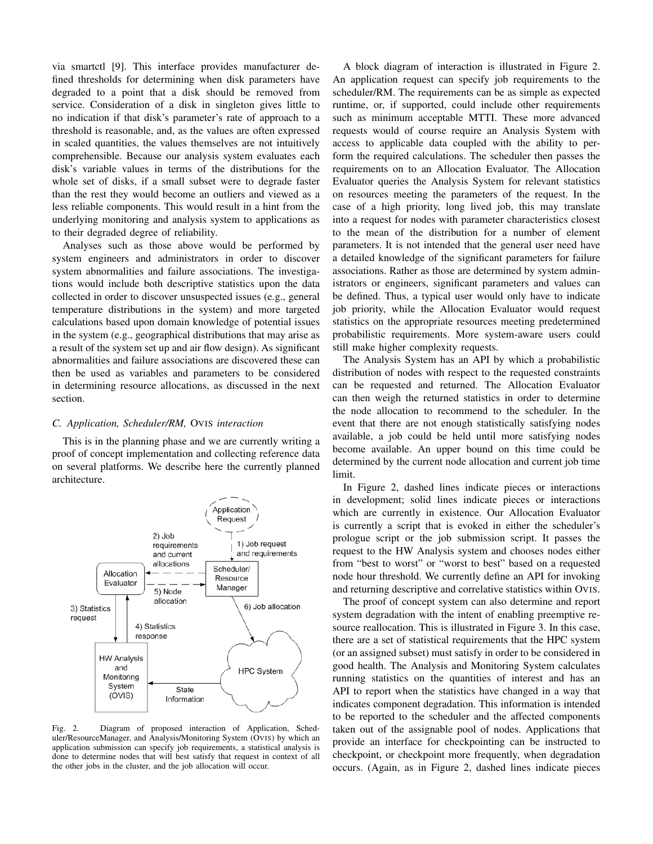via smartctl [9]. This interface provides manufacturer defined thresholds for determining when disk parameters have degraded to a point that a disk should be removed from service. Consideration of a disk in singleton gives little to no indication if that disk's parameter's rate of approach to a threshold is reasonable, and, as the values are often expressed in scaled quantities, the values themselves are not intuitively comprehensible. Because our analysis system evaluates each disk's variable values in terms of the distributions for the whole set of disks, if a small subset were to degrade faster than the rest they would become an outliers and viewed as a less reliable components. This would result in a hint from the underlying monitoring and analysis system to applications as to their degraded degree of reliability.

Analyses such as those above would be performed by system engineers and administrators in order to discover system abnormalities and failure associations. The investigations would include both descriptive statistics upon the data collected in order to discover unsuspected issues (e.g., general temperature distributions in the system) and more targeted calculations based upon domain knowledge of potential issues in the system (e.g., geographical distributions that may arise as a result of the system set up and air flow design). As significant abnormalities and failure associations are discovered these can then be used as variables and parameters to be considered in determining resource allocations, as discussed in the next section.

### *C. Application, Scheduler/RM,* OVIS *interaction*

This is in the planning phase and we are currently writing a proof of concept implementation and collecting reference data on several platforms. We describe here the currently planned architecture.



Fig. 2. Diagram of proposed interaction of Application, Scheduler/ResourceManager, and Analysis/Monitoring System (OVIS) by which an application submission can specify job requirements, a statistical analysis is done to determine nodes that will best satisfy that request in context of all the other jobs in the cluster, and the job allocation will occur.

A block diagram of interaction is illustrated in Figure 2. An application request can specify job requirements to the scheduler/RM. The requirements can be as simple as expected runtime, or, if supported, could include other requirements such as minimum acceptable MTTI. These more advanced requests would of course require an Analysis System with access to applicable data coupled with the ability to perform the required calculations. The scheduler then passes the requirements on to an Allocation Evaluator. The Allocation Evaluator queries the Analysis System for relevant statistics on resources meeting the parameters of the request. In the case of a high priority, long lived job, this may translate into a request for nodes with parameter characteristics closest to the mean of the distribution for a number of element parameters. It is not intended that the general user need have a detailed knowledge of the significant parameters for failure associations. Rather as those are determined by system administrators or engineers, significant parameters and values can be defined. Thus, a typical user would only have to indicate job priority, while the Allocation Evaluator would request statistics on the appropriate resources meeting predetermined probabilistic requirements. More system-aware users could still make higher complexity requests.

The Analysis System has an API by which a probabilistic distribution of nodes with respect to the requested constraints can be requested and returned. The Allocation Evaluator can then weigh the returned statistics in order to determine the node allocation to recommend to the scheduler. In the event that there are not enough statistically satisfying nodes available, a job could be held until more satisfying nodes become available. An upper bound on this time could be determined by the current node allocation and current job time limit.

In Figure 2, dashed lines indicate pieces or interactions in development; solid lines indicate pieces or interactions which are currently in existence. Our Allocation Evaluator is currently a script that is evoked in either the scheduler's prologue script or the job submission script. It passes the request to the HW Analysis system and chooses nodes either from "best to worst" or "worst to best" based on a requested node hour threshold. We currently define an API for invoking and returning descriptive and correlative statistics within OVIS.

The proof of concept system can also determine and report system degradation with the intent of enabling preemptive resource reallocation. This is illustrated in Figure 3. In this case, there are a set of statistical requirements that the HPC system (or an assigned subset) must satisfy in order to be considered in good health. The Analysis and Monitoring System calculates running statistics on the quantities of interest and has an API to report when the statistics have changed in a way that indicates component degradation. This information is intended to be reported to the scheduler and the affected components taken out of the assignable pool of nodes. Applications that provide an interface for checkpointing can be instructed to checkpoint, or checkpoint more frequently, when degradation occurs. (Again, as in Figure 2, dashed lines indicate pieces